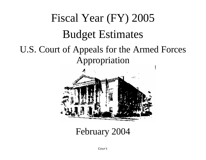# Fiscal Year (FY) 2005 Budget Estimates U.S. Court of Appeals for the Armed Forces Appropriation



February 2004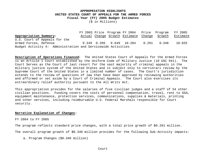#### **APPROPRIATION HIGHLIGHTS UNITED STATES COURT OF APPEALS FOR THE ARMED FORCES Fiscal Year (FY) 2005 Budget Estimates**

(\$ in Millions)

FY 2003 Price Program FY 2004 Price Program FY 2005 **Appropriation Summary:** Actual Change Growth Estimate Change Growth Estimate U.S. Court of Appeals for the Armed Forces, Defense 9.349 0.286 0.649 10.284 0.201 0.340 10.825 Budget Activity 4: Administration and Servicewide Activities

**Description of Operations Financed:** The United States Court of Appeals for the Armed Forces is an Article I Court established by the Uniform Code of Military Justice (10 USC 941). The Court Serves as the Court of last resort for the vast majority of criminal appeals in the military justice system of the United States and is subject only to certiorari review by the Supreme Court of the United States in a limited number of cases. The Court's jurisdiction extends to the review of questions of law that have been approved by reviewing authorities and affirmed or set aside by a Court of Criminal Appeals. The Court also exercises its extraordinary relief authority pursuant to the All Writs Act.

This appropriation provides for the salaries of five civilian judges and a staff of 54 other civilian positions. Funding covers the costs of personnel compensation, travel, rent to GSA, equipment maintenance, protection services, communications, supplies & materials, printing and other services, including reimbursable U.S. Federal Marshals responsible for Court security.

#### **Narrative Explanation of Changes:**

FY 2004 to FY 2005

The program reflects standard price changes, with a total price growth of \$0.201 million.

The overall program growth of \$0.340 million provides for the following Sub-Activity impacts:

a. Program Changes (\$0.340 million)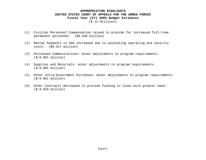## **APPROPRIATION HIGHLIGHTS UNITED STATES COURT OF APPEALS FOR THE ARMED FORCES Fiscal Year (FY) 2005 Budget Estimates** (\$ in Millions)

- (1) Civilian Personnel Compensation raised to provide for increased full-time permanent personnel. (\$0.036 million)
- (2) Rental Payments to GSA increased due to escalating operating and security costs. (\$0.317 million)
- (3) Purchased Communications: minor adjustments to program requirements. (\$-0.001 million)
- (4) Supplies and Materials: minor adjustments to program requirements. (\$-0.001 million)
- (5) Other Intra-Government Purchases: minor adjustments to program requirements. (\$-0.001 million)
- (6) Other Contracts decreased to provide funding to lines with greater need. (\$-0.010 million)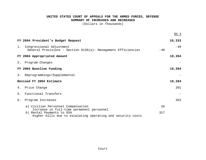#### **UNITED STATES COURT OF APPEALS FOR THE ARMED FORCES, DEFENSE SUMMARY OF INCREASES AND DECREASES**

(Dollars in Thousands)

|    |                                                                                                                                       |       | BA 4   |
|----|---------------------------------------------------------------------------------------------------------------------------------------|-------|--------|
|    | FY 2004 President's Budget Request                                                                                                    |       | 10,333 |
|    | 1. Congressional Adjustment<br>General Provisions - Section 8126(a): Management Efficiencies                                          | $-49$ | $-49$  |
|    | FY 2004 Appropriated Amount                                                                                                           |       | 10,284 |
|    | 2. Program Changes                                                                                                                    |       |        |
|    | FY 2004 Baseline Funding                                                                                                              |       | 10,284 |
|    | 3. Reprogrammings/Supplemental                                                                                                        |       |        |
|    | Revised FY 2004 Estimate                                                                                                              |       | 10,284 |
|    | 4. Price Change                                                                                                                       |       | 201    |
| 5. | Functional Transfers                                                                                                                  |       |        |
| б. | Program Increases                                                                                                                     |       | 353    |
|    | a) Civilian Personnel Compensation                                                                                                    | 36    |        |
|    | Increase in full-time permanent personnel<br>b) Rental Payments to GSA<br>Higher bills due to escalating operating and security costs | 317   |        |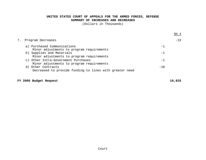#### **UNITED STATES COURT OF APPEALS FOR THE ARMED FORCES, DEFENSE SUMMARY OF INCREASES AND DECREASES**

(Dollars in Thousands)

|                                                                                  |       | BA 4  |
|----------------------------------------------------------------------------------|-------|-------|
| Program Decreases                                                                |       | $-13$ |
| a) Purchased Communications<br>Minor adjustments to program requirements         | $-1$  |       |
| b) Supplies and Materials<br>Minor adjustments to program requirements           | - 1   |       |
| c) Other Intra-Government Purchases<br>Minor adjustments to program requirements | $-1$  |       |
| Other Contracts<br>d)<br>Decreased to provide funding to lines with greater need | $-10$ |       |

## **FY 2005 Budget Request 10,825**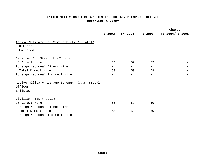## **UNITED STATES COURT OF APPEALS FOR THE ARMED FORCES, DEFENSE PERSONNEL SUMMARY**

|                                                |                          |         | Change         |                 |
|------------------------------------------------|--------------------------|---------|----------------|-----------------|
|                                                | FY 2003                  | FY 2004 | <b>FY 2005</b> | FY 2004/FY 2005 |
| Active Military End Strength (E/S) (Total)     |                          |         |                |                 |
| Officer                                        |                          |         |                |                 |
| Enlisted                                       |                          |         |                |                 |
| Civilian End Strength (Total)                  |                          |         |                |                 |
| US Direct Hire                                 | 53                       | 59      | 59             |                 |
| Foreign National Direct Hire                   | $\overline{\phantom{0}}$ | $-$     | $-$            |                 |
| Total Direct Hire                              | 53                       | 59      | 59             |                 |
| Foreign National Indirect Hire                 |                          |         |                |                 |
| Active Military Average Strength (A/S) (Total) |                          |         |                |                 |
| Officer                                        |                          |         |                |                 |
| Enlisted                                       |                          |         |                |                 |
| Civilian FTEs (Total)                          |                          |         |                |                 |
| US Direct Hire                                 | 53                       | 59      | 59             |                 |
| Foreign National Direct Hire                   | $\overline{\phantom{0}}$ | $-$     | $-$            |                 |
| Total Direct Hire                              | 53                       | 59      | 59             |                 |
| Foreign National Indirect Hire                 |                          |         |                |                 |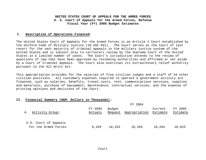#### **I. Description of Operations Financed:**

The United States Court of Appeals for the Armed Forces is an Article I Court established by the Uniform Code of Military Justice (10 USC 941). The Court serves as the Court of last resort for the vast majority of criminal appeals in the military justice system of the United States and is subject only to certiorari review by the Supreme Court of the United States in a limited number of cases. The Court's jurisdiction extends to the review of questions of law that have been approved by reviewing authorities and affirmed or set aside by a Court of Criminal Appeals. The Court also exercises its extraordinary relief authority pursuant to the All Writs Act.

This appropriation provides for the salaries of five civilian judges and a staff of 54 other civilian positions. All customary expenses required to operate a government activity are financed, such as salaries, benefits, travel costs, rent, communications services, supplies and materials, purchase of equipment, maintenance, contractual services, and the expense of printing opinions and decisions of the Court.

#### **II. Financial Summary (O&M: Dollars in Thousands):**

|                                               |                    |                   | FY 2004       |                     |                     |
|-----------------------------------------------|--------------------|-------------------|---------------|---------------------|---------------------|
| Activity Group:<br>Α.                         | FY 2003<br>Actuals | Budget<br>Request | Appropriation | Current<br>Estimate | FY 2005<br>Estimate |
| U.S. Court of Appeals<br>for the Armed Forces | 9,349              | 10,333            | 10,284        | 10,284              | 10,825              |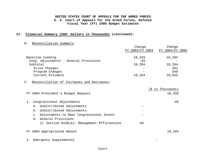## **II. Financial Summary (O&M: Dollars in Thousands) (continued):**

B. Reconciliation Summary:

|                                                            | Change          | Change            |
|------------------------------------------------------------|-----------------|-------------------|
|                                                            | FY 2004/FY 2004 | FY 2004/FY 2005   |
| Baseline Funding                                           | 10,333          | 10,284            |
| Cong. Adjustments - General Provisions                     | $-49$           |                   |
| Subtotal                                                   | 10,284          | 10,284            |
| Price Changes                                              |                 | 201               |
| Program Changes                                            |                 | 340               |
| Current Estimate                                           | 10,284          | 10,825            |
| C. Reconciliation of Increases and Decreases:              |                 |                   |
|                                                            |                 | (\$ in Thousands) |
| FY 2004 President's Budget Request                         |                 | 10,333            |
| 1. Congressional Adjustments                               |                 | $-49$             |
| a. Undistributed Adjustments                               |                 |                   |
| b. Undistributed Adjustments                               |                 |                   |
| Adjustments to Meet Congressional Intent<br>$\mathsf{C}$ . |                 |                   |
| d. General Provisions                                      |                 |                   |
| 1) Section 8126(a): Management Efficiencies                | $-49$           |                   |
| FY 2004 Appropriated Amount                                |                 | 10,284            |
| Emergency Supplemental<br>$2$ .                            |                 |                   |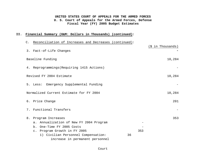## **II. Financial Summary (O&M: Dollars in Thousands) (continued):**

C. Reconciliation of Increases and Decreases (continued):

|                                            |     | (\$ in Thousands) |
|--------------------------------------------|-----|-------------------|
| 3. Fact-of-Life Changes                    |     |                   |
| Baseline Funding                           |     | 10,284            |
| 4. Reprogrammings (Requiring 1415 Actions) |     |                   |
| Revised FY 2004 Estimate                   |     | 10,284            |
| 5. Less: Emergency Supplemental Funding    |     |                   |
| Normalized Current Estimate for FY 2004    |     | 10,284            |
| 6. Price Change                            |     | 201               |
| Functional Transfers<br>$7$ .              |     |                   |
| 8.<br>Program Increases                    |     | 353               |
| a. Annualization of New FY 2004 Program    |     |                   |
| b. One-Time FY 2005 Costs                  |     |                   |
| c. Program Growth in FY 2005               | 353 |                   |
| 1) Civilian Personnel Compensation:        | 36  |                   |
| increase in permanent personnel            |     |                   |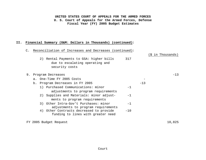#### **II. Financial Summary (O&M: Dollars in Thousands) (continued):**

## C. Reconciliation of Increases and Decreases (continued):

2) Rental Payments to GSA: higher bills 317 due to escalating operating and security costs

| 9. | Program Decreases |                                          |       |        | $-13$ |
|----|-------------------|------------------------------------------|-------|--------|-------|
|    |                   | a. One-Time FY 2005 Costs                |       |        |       |
|    |                   | b. Program Decreases in FY 2005          |       | $-1.3$ |       |
|    |                   | 1) Purchased Communications: minor       |       |        |       |
|    |                   | adjustments to program requirements      |       |        |       |
|    |                   | 2) Supplies and Materials: minor adjust- | $-1$  |        |       |
|    |                   | ments to program requirements            |       |        |       |
|    |                   | 3) Other Intra-Gov't Purchases: minor    | $-1$  |        |       |
|    |                   | adjustments to program requirements      |       |        |       |
|    |                   | 4) Other Contracts decreased to provide  | $-10$ |        |       |
|    |                   | funding to lines with greater need       |       |        |       |
|    |                   |                                          |       |        |       |

FY 2005 Budget Request 2005 810,825

(\$ in Thousands)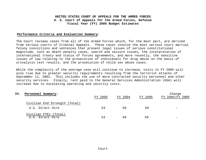#### **Performance Criteria and Evaluation Summary:**

The Court reviews cases from all of the Armed Forces which, for the most part, are derived from various courts of Criminal Appeals. These cases involve the most serious court martial felony convictions and sentences that present legal issues of serious constitutional magnitude, such as death penalty cases, search and seizure issues, the interpretation of international treaty and status of forces agreements, and more recently, the sensitive issues of law relating to the prosecution of individuals for drug abuse on the basis of urinalysis test results, and the prosecution of child sex abuse cases.

While the complexity of the average case will continue to increase, costs in FY 2005 will also rise due to greater security requirements resulting from the terrorist attacks of September 11, 2001. This includes the use of more contracted security personnel and other security services. Finally, rent paid to the General Services Administration (GSA) will increase due to escalating operating and security costs.

| IV.<br>Personnel Summary:                 | FY 2003 | FY 2004 | FY 2005 | Change<br>FY 2004/FY 2005 |
|-------------------------------------------|---------|---------|---------|---------------------------|
| Civilian End Strength (Total)             |         |         |         |                           |
| U.S. Direct Hire                          | 53      | 59      | .59     | $\overline{\phantom{0}}$  |
| Civilian FTEs (Total)<br>U.S. Direct Hire | 53      | 59      | 59      | $\overline{\phantom{0}}$  |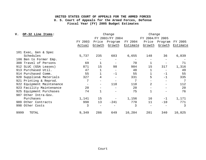| OP-32 Line Items:<br>v.   |         |                   | Change                   |          | Change          |         |          |
|---------------------------|---------|-------------------|--------------------------|----------|-----------------|---------|----------|
|                           |         |                   | FY 2003/FY 2004          |          | FY 2004/FY 2005 |         |          |
|                           | FY 2003 | Price             | Program                  | FY 2004  | Price           | Program | FY 2005  |
|                           | Actual  | Growth            | Growth                   | Estimate | Growth          | Growth  | Estimate |
| 101 Exec, Gen & Spec      |         |                   |                          |          |                 |         |          |
| Schedules                 | 5,737   | 235               | 683                      | 6,655    | 148             | 36      | 6,839    |
| 106 Ben to Former Emp.    |         |                   |                          |          |                 |         |          |
| 308 Travel of Persons     | 69      |                   |                          | 70       |                 |         | 71       |
| 912 SLUC (GSA Leases)     | 871     | 15                | 98                       | 984      | 15              | 317     | 1,316    |
| 913 Purchased Util.       | 47      |                   | $\overline{\phantom{m}}$ | 48       |                 |         | 49       |
| 914 Purchased Comm.       | 55      |                   | $-1$                     | 55       |                 | $-1$    | 55       |
| 920 Supplies& Materials   | 327     | 4                 |                          | 331      | 5               | $-1$    | 335      |
| 921 Printing & Reprod.    | 7       |                   |                          | 7        |                 |         | 7        |
| 922 Equipment Maintenance |         | $\qquad \qquad -$ | 110                      | 110      | 2               |         | 112      |
| 923 Facility Maintenance  | 20      |                   |                          | 20       |                 |         | 20       |
| 925 Equipment Purchases   | 74      |                   |                          | 75       |                 |         | 76       |
| 987 Other Intra-Gov.      |         |                   |                          |          |                 |         |          |
| Purchases                 | 1,141   | 15                |                          | 1,156    | 16              | $-1$    | 1,171    |
| 989 Other Contracts       | 998     | 13                | $-241$                   | 770      | 11              | $-10$   | 771      |
| 998 Other Costs           | 3       |                   |                          | 3        |                 |         | 3        |
| 9999<br>TOTAL             | 9,349   | 286               | 649                      | 10,284   | 201             | 340     | 10,825   |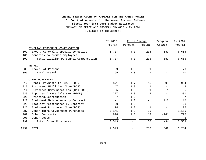## **UNITED STATES COURT OF APPEALS FOR THE ARMED FORCES Fiscal Year (FY) 2005 Budget Estimates U. S. Court of Appeals for the Armed Forces, Defense** SUMMARY OF PRICE AND PROGRAM CHANGES - FY 2004 (Dollars in Thousands)

|      |                                       | Price Change<br>FY 2003 |                          | Program                  | FY 2004                  |         |
|------|---------------------------------------|-------------------------|--------------------------|--------------------------|--------------------------|---------|
|      |                                       | Program                 | Percent                  | Amount                   | Growth                   | Program |
|      | CIVILIAN PERSONNEL COMPENSATION       |                         |                          |                          |                          |         |
| 101  | Exec., General & Special Schedules    | 5,737                   | 4.1                      | 235                      | 683                      | 6,655   |
| 106  | Benefits to Former Employees          |                         |                          |                          |                          |         |
| 199  | Total Civilian Personnel Compensation | 5,737                   | 4.1                      | 235                      | 683                      | 6,655   |
|      | TRAVEL                                |                         |                          |                          |                          |         |
| 308  | Travel of Persons                     | 69                      | 1.3                      | 1                        |                          | 70      |
| 399  | Total Travel                          | 69                      | 1.3                      |                          |                          | 70      |
|      | OTHER PURCHASES                       |                         |                          |                          |                          |         |
| 912  | Rental Payments to GSA (SLUC)         | 871                     | 1.7                      | 15                       | 98                       | 984     |
| 913  | Purchased Utilities (Non-DBOF)        | 47                      | 1.3                      | 1                        |                          | 48      |
| 914  | Purchased Communications (Non-DBOF)   | 55                      | 1.3                      | 1                        | $-1$                     | 55      |
| 920  | Supplies & Materials (Non-DBOF)       | 327                     | 1.3                      | 4                        | $\overline{\phantom{m}}$ | 331     |
| 921  | Printing/Reproduction                 | 7                       | 1.3                      | -                        | $\overline{\phantom{a}}$ | 7       |
| 922  | Equipment Maintenance by Contract     | -                       | 1.3                      |                          | 110                      | 110     |
| 923  | Facility Maintenance by Contract      | 20                      | 1.3                      | $\overline{\phantom{0}}$ |                          | 20      |
| 925  | Equipment Purchases (Non-DBOF)        | 74                      | 1.3                      | 1                        |                          | 75      |
| 987  | Other Intra-Government Purchases      | 1,141                   | 1.3                      | 15                       |                          | 1,156   |
| 989  | Other Contracts                       | 998                     | 1.3                      | 13                       | $-241$                   | 770     |
| 998  | Other Costs                           | 3                       | $\overline{\phantom{0}}$ | -                        | $\qquad \qquad -$        | 3       |
| 999  | Total Other Purchases                 | 3,543                   | $\overline{\phantom{0}}$ | 50                       | $-34$                    | 3,559   |
| 9999 | TOTAL                                 | 9,349                   |                          | 286                      | 649                      | 10,284  |